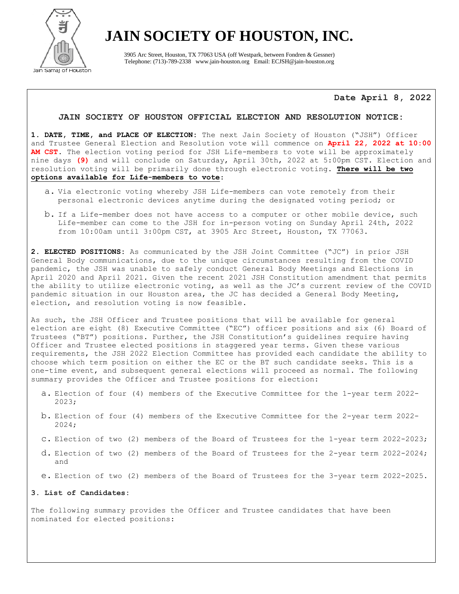

3905 Arc Street, Houston, TX 77063 USA (off Westpark, between Fondren & Gessner) Telephone: (713)-789-2338 www.jain-houston.org Email: ECJSH@jain-houston.org

**Date April 8, 2022**

### **JAIN SOCIETY OF HOUSTON OFFICIAL ELECTION AND RESOLUTION NOTICE:**

**1. DATE, TIME, and PLACE OF ELECTION:** The next Jain Society of Houston ("JSH") Officer and Trustee General Election and Resolution vote will commence on **April 22, 2022 at 10:00 AM CST**. The election voting period for JSH Life-members to vote will be approximately nine days **(9)** and will conclude on Saturday, April 30th, 2022 at 5:00pm CST. Election and resolution voting will be primarily done through electronic voting. **There will be two options available for Life-members to vote**:

- a. Via electronic voting whereby JSH Life-members can vote remotely from their personal electronic devices anytime during the designated voting period; or
- b. If a Life-member does not have access to a computer or other mobile device, such Life-member can come to the JSH for in-person voting on Sunday April 24th, 2022 from 10:00am until 3:00pm CST, at 3905 Arc Street, Houston, TX 77063.

**2. ELECTED POSITIONS:** As communicated by the JSH Joint Committee ("JC") in prior JSH General Body communications, due to the unique circumstances resulting from the COVID pandemic, the JSH was unable to safely conduct General Body Meetings and Elections in April 2020 and April 2021. Given the recent 2021 JSH Constitution amendment that permits the ability to utilize electronic voting, as well as the JC's current review of the COVID pandemic situation in our Houston area, the JC has decided a General Body Meeting, election, and resolution voting is now feasible.

As such, the JSH Officer and Trustee positions that will be available for general election are eight (8) Executive Committee ("EC") officer positions and six (6) Board of Trustees ("BT") positions. Further, the JSH Constitution's guidelines require having Officer and Trustee elected positions in staggered year terms. Given these various requirements, the JSH 2022 Election Committee has provided each candidate the ability to choose which term position on either the EC or the BT such candidate seeks. This is a one-time event, and subsequent general elections will proceed as normal. The following summary provides the Officer and Trustee positions for election:

- a. Election of four (4) members of the Executive Committee for the 1-year term 2022- 2023;
- b. Election of four (4) members of the Executive Committee for the 2-year term 2022- 2024;
- c. Election of two (2) members of the Board of Trustees for the 1-year term 2022-2023;
- d. Election of two (2) members of the Board of Trustees for the 2-year term 2022-2024; and
- e. Election of two (2) members of the Board of Trustees for the 3-year term 2022-2025.

### **3. List of Candidates:**

The following summary provides the Officer and Trustee candidates that have been nominated for elected positions: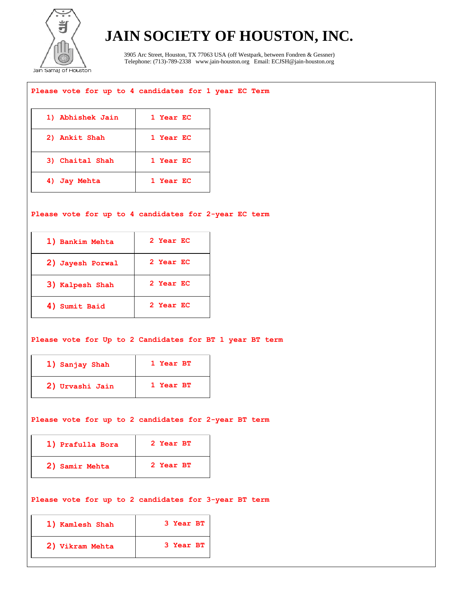

3905 Arc Street, Houston, TX 77063 USA (off Westpark, between Fondren & Gessner) Telephone: (713)-789-2338 www.jain-houston.org Email: ECJSH@jain-houston.org

## **Please vote for up to 4 candidates for 1 year EC Term**

| 1) Abhishek Jain | 1 Year EC |
|------------------|-----------|
| 2) Ankit Shah    | 1 Year EC |
| 3) Chaital Shah  | 1 Year EC |
| 4) Jay Mehta     | 1 Year EC |

## **Please vote for up to 4 candidates for 2-year EC term**

| 1) Bankim Mehta  | 2 Year EC |
|------------------|-----------|
| 2) Jayesh Porwal | 2 Year EC |
| 3) Kalpesh Shah  | 2 Year EC |
| 4) Sumit Baid    | 2 Year EC |

## **Please vote for Up to 2 Candidates for BT 1 year BT term**

| 1) Sanjay Shah  | 1 Year BT |
|-----------------|-----------|
| 2) Urvashi Jain | 1 Year BT |

### **Please vote for up to 2 candidates for 2-year BT term**

| 1) Prafulla Bora | 2 Year BT |
|------------------|-----------|
| 2) Samir Mehta   | 2 Year BT |

## **Please vote for up to 2 candidates for 3-year BT term**

| 1) Kamlesh Shah | 3 Year BT |
|-----------------|-----------|
| 2) Vikram Mehta | 3 Year BT |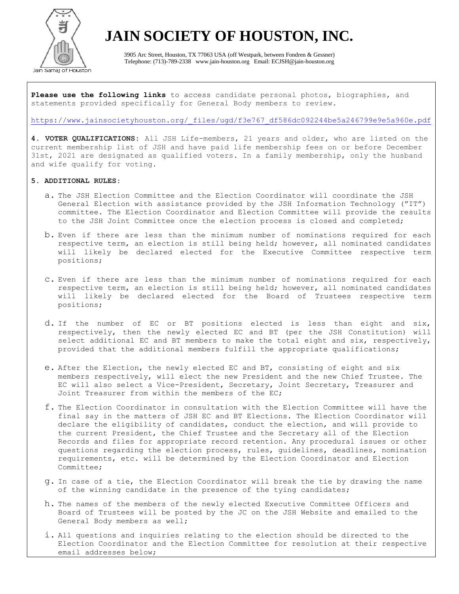

3905 Arc Street, Houston, TX 77063 USA (off Westpark, between Fondren & Gessner) Telephone: (713)-789-2338 www.jain-houston.org Email: ECJSH@jain-houston.org

**Please use the following links** to access candidate personal photos, biographies, and statements provided specifically for General Body members to review.

## [https://www.jainsocietyhouston.org/\\_files/ugd/f3e767\\_df586dc092244be5a246799e9e5a960e.pdf](https://www.jainsocietyhouston.org/_files/ugd/f3e767_df586dc092244be5a246799e9e5a960e.pdf)

**4. VOTER QUALIFICATIONS:** All JSH Life-members, 21 years and older, who are listed on the current membership list of JSH and have paid life membership fees on or before December 31st, 2021 are designated as qualified voters. In a family membership, only the husband and wife qualify for voting.

## **5. ADDITIONAL RULES:**

- a. The JSH Election Committee and the Election Coordinator will coordinate the JSH General Election with assistance provided by the JSH Information Technology ("IT") committee. The Election Coordinator and Election Committee will provide the results to the JSH Joint Committee once the election process is closed and completed;
- b. Even if there are less than the minimum number of nominations required for each respective term, an election is still being held; however, all nominated candidates will likely be declared elected for the Executive Committee respective term positions;
- c. Even if there are less than the minimum number of nominations required for each respective term, an election is still being held; however, all nominated candidates will likely be declared elected for the Board of Trustees respective term positions;
- d. If the number of EC or BT positions elected is less than eight and six, respectively, then the newly elected EC and BT (per the JSH Constitution) will select additional EC and BT members to make the total eight and six, respectively, provided that the additional members fulfill the appropriate qualifications;
- e. After the Election, the newly elected EC and BT, consisting of eight and six members respectively, will elect the new President and the new Chief Trustee. The EC will also select a Vice-President, Secretary, Joint Secretary, Treasurer and Joint Treasurer from within the members of the EC;
- f. The Election Coordinator in consultation with the Election Committee will have the final say in the matters of JSH EC and BT Elections. The Election Coordinator will declare the eligibility of candidates, conduct the election, and will provide to the current President, the Chief Trustee and the Secretary all of the Election Records and files for appropriate record retention. Any procedural issues or other questions regarding the election process, rules, guidelines, deadlines, nomination requirements, etc. will be determined by the Election Coordinator and Election Committee;
- g. In case of a tie, the Election Coordinator will break the tie by drawing the name of the winning candidate in the presence of the tying candidates;
- h. The names of the members of the newly elected Executive Committee Officers and Board of Trustees will be posted by the JC on the JSH Website and emailed to the General Body members as well;
- i. All questions and inquiries relating to the election should be directed to the Election Coordinator and the Election Committee for resolution at their respective email addresses below;